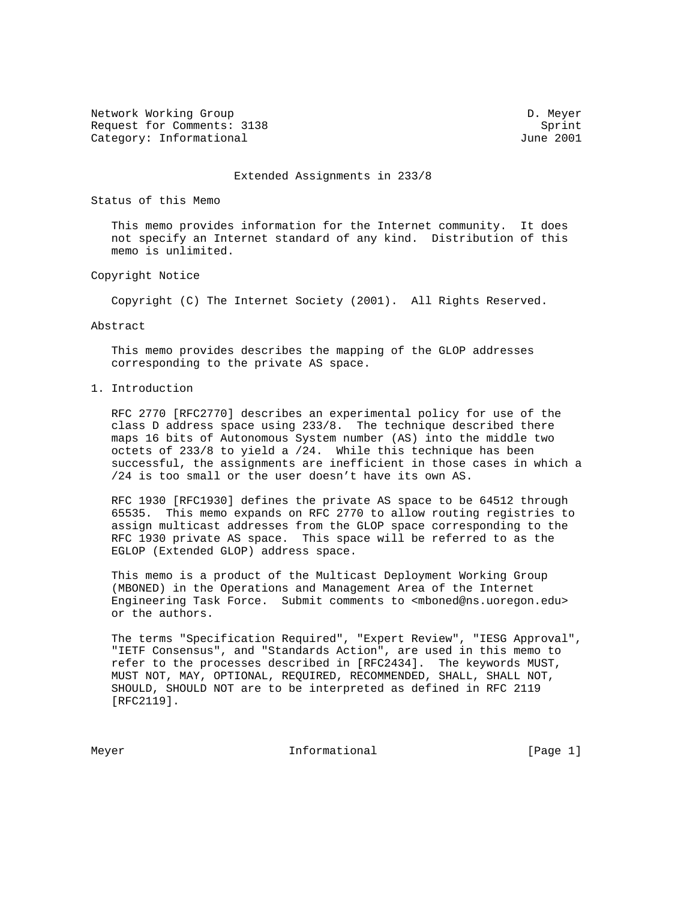Network Working Group Development of the United States of D. Meyer Request for Comments: 3138 Sprint Category: Informational 3001

### Extended Assignments in 233/8

Status of this Memo

 This memo provides information for the Internet community. It does not specify an Internet standard of any kind. Distribution of this memo is unlimited.

## Copyright Notice

Copyright (C) The Internet Society (2001). All Rights Reserved.

## Abstract

 This memo provides describes the mapping of the GLOP addresses corresponding to the private AS space.

## 1. Introduction

 RFC 2770 [RFC2770] describes an experimental policy for use of the class D address space using 233/8. The technique described there maps 16 bits of Autonomous System number (AS) into the middle two octets of 233/8 to yield a /24. While this technique has been successful, the assignments are inefficient in those cases in which a /24 is too small or the user doesn't have its own AS.

 RFC 1930 [RFC1930] defines the private AS space to be 64512 through 65535. This memo expands on RFC 2770 to allow routing registries to assign multicast addresses from the GLOP space corresponding to the RFC 1930 private AS space. This space will be referred to as the EGLOP (Extended GLOP) address space.

 This memo is a product of the Multicast Deployment Working Group (MBONED) in the Operations and Management Area of the Internet Engineering Task Force. Submit comments to <mboned@ns.uoregon.edu> or the authors.

 The terms "Specification Required", "Expert Review", "IESG Approval", "IETF Consensus", and "Standards Action", are used in this memo to refer to the processes described in [RFC2434]. The keywords MUST, MUST NOT, MAY, OPTIONAL, REQUIRED, RECOMMENDED, SHALL, SHALL NOT, SHOULD, SHOULD NOT are to be interpreted as defined in RFC 2119 [RFC2119].

Meyer **Informational Informational** [Page 1]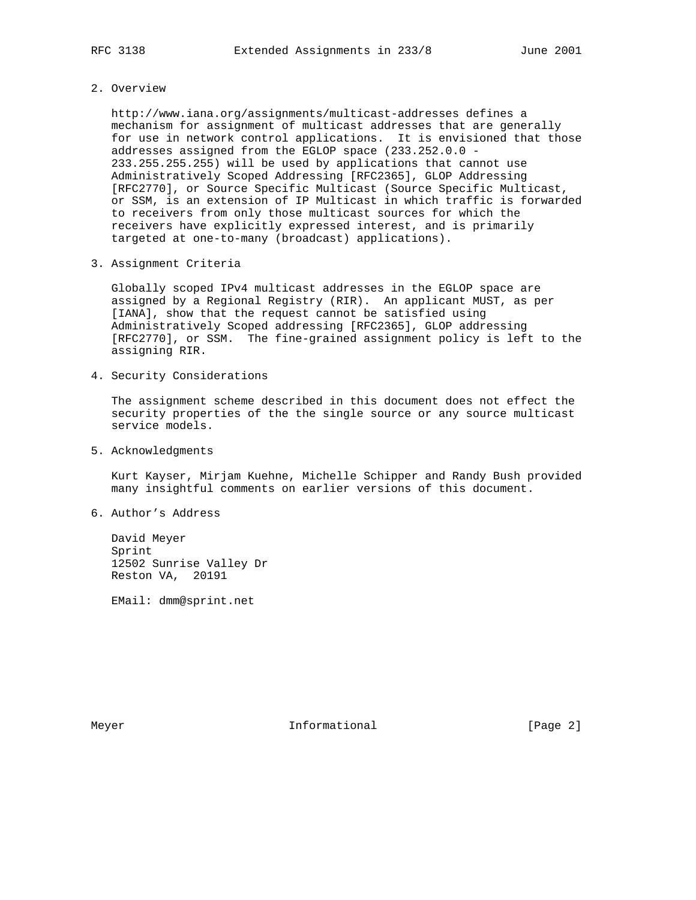2. Overview

 http://www.iana.org/assignments/multicast-addresses defines a mechanism for assignment of multicast addresses that are generally for use in network control applications. It is envisioned that those addresses assigned from the EGLOP space (233.252.0.0 - 233.255.255.255) will be used by applications that cannot use Administratively Scoped Addressing [RFC2365], GLOP Addressing [RFC2770], or Source Specific Multicast (Source Specific Multicast, or SSM, is an extension of IP Multicast in which traffic is forwarded to receivers from only those multicast sources for which the receivers have explicitly expressed interest, and is primarily targeted at one-to-many (broadcast) applications).

3. Assignment Criteria

 Globally scoped IPv4 multicast addresses in the EGLOP space are assigned by a Regional Registry (RIR). An applicant MUST, as per [IANA], show that the request cannot be satisfied using Administratively Scoped addressing [RFC2365], GLOP addressing [RFC2770], or SSM. The fine-grained assignment policy is left to the assigning RIR.

4. Security Considerations

 The assignment scheme described in this document does not effect the security properties of the the single source or any source multicast service models.

5. Acknowledgments

 Kurt Kayser, Mirjam Kuehne, Michelle Schipper and Randy Bush provided many insightful comments on earlier versions of this document.

6. Author's Address

 David Meyer Sprint 12502 Sunrise Valley Dr Reston VA, 20191

EMail: dmm@sprint.net

Meyer **Informational Informational** [Page 2]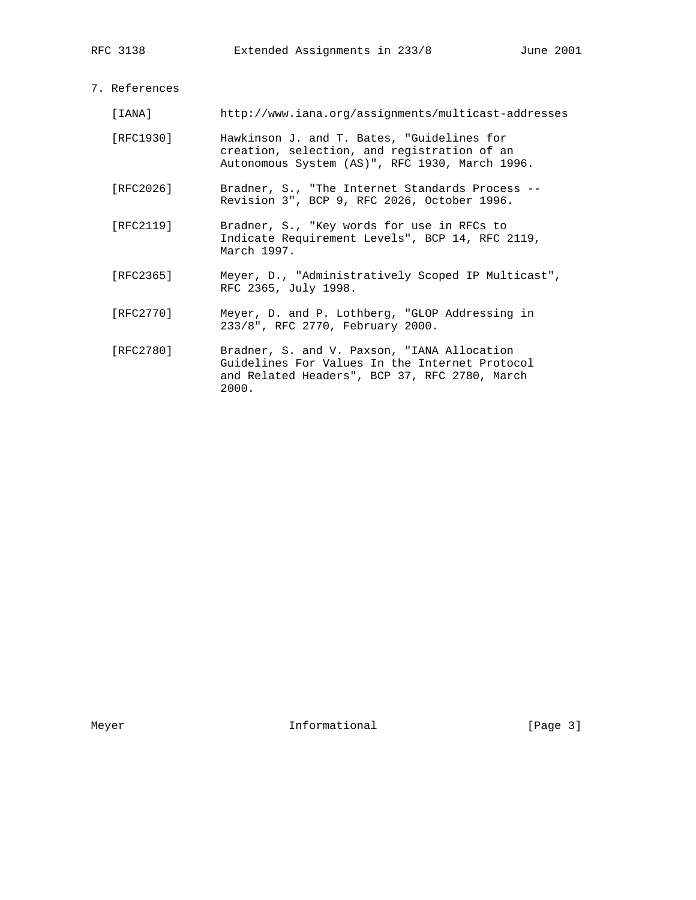# 7. References

| [IANA]    | http://www.iana.org/assignments/multicast-addresses                                                                                            |
|-----------|------------------------------------------------------------------------------------------------------------------------------------------------|
| [RFC1930] | Hawkinson J. and T. Bates, "Guidelines for<br>creation, selection, and registration of an<br>Autonomous System (AS)", RFC 1930, March 1996.    |
| [RFC2026] | Bradner, S., "The Internet Standards Process --<br>Revision 3", BCP 9, RFC 2026, October 1996.                                                 |
| [RFC2119] | Bradner, S., "Key words for use in RFCs to<br>Indicate Requirement Levels", BCP 14, RFC 2119,<br>March 1997.                                   |
| [RFC2365] | Meyer, D., "Administratively Scoped IP Multicast",<br>RFC 2365, July 1998.                                                                     |
| [RFC2770] | Meyer, D. and P. Lothberg, "GLOP Addressing in<br>233/8", RFC 2770, February 2000.                                                             |
| [RFC2780] | Bradner, S. and V. Paxson, "IANA Allocation<br>Guidelines For Values In the Internet Protocol<br>and Related Headers", BCP 37, RFC 2780, March |

2000.

Meyer Informational [Page 3]